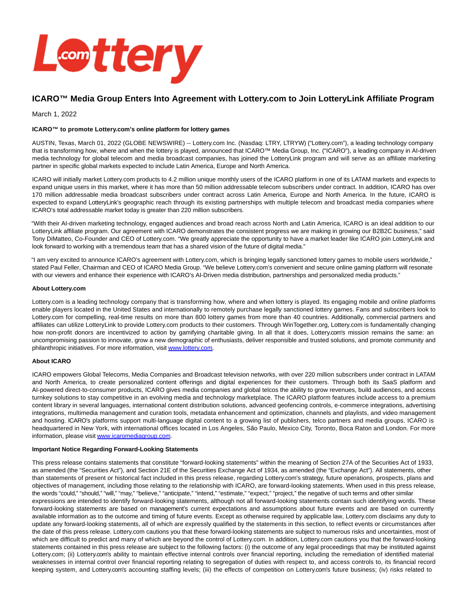

# **ICARO™ Media Group Enters Into Agreement with Lottery.com to Join LotteryLink Affiliate Program**

March 1, 2022

## **ICARO™ to promote Lottery.com's online platform for lottery games**

AUSTIN, Texas, March 01, 2022 (GLOBE NEWSWIRE) -- Lottery.com Inc. (Nasdaq: LTRY, LTRYW) ("Lottery.com"), a leading technology company that is transforming how, where and when the lottery is played, announced that ICARO™ Media Group, Inc. ("ICARO"), a leading company in AI-driven media technology for global telecom and media broadcast companies, has joined the LotteryLink program and will serve as an affiliate marketing partner in specific global markets expected to include Latin America, Europe and North America.

ICARO will initially market Lottery.com products to 4.2 million unique monthly users of the ICARO platform in one of its LATAM markets and expects to expand unique users in this market, where it has more than 50 million addressable telecom subscribers under contract. In addition, ICARO has over 170 million addressable media broadcast subscribers under contract across Latin America, Europe and North America. In the future, ICARO is expected to expand LotteryLink's geographic reach through its existing partnerships with multiple telecom and broadcast media companies where ICARO's total addressable market today is greater than 220 million subscribers.

"With their AI-driven marketing technology, engaged audiences and broad reach across North and Latin America, ICARO is an ideal addition to our LotteryLink affiliate program. Our agreement with ICARO demonstrates the consistent progress we are making in growing our B2B2C business," said Tony DiMatteo, Co-Founder and CEO of Lottery.com. "We greatly appreciate the opportunity to have a market leader like ICARO join LotteryLink and look forward to working with a tremendous team that has a shared vision of the future of digital media."

"I am very excited to announce ICARO's agreement with Lottery.com, which is bringing legally sanctioned lottery games to mobile users worldwide," stated Paul Feller, Chairman and CEO of ICARO Media Group. "We believe Lottery.com's convenient and secure online gaming platform will resonate with our viewers and enhance their experience with ICARO's AI-Driven media distribution, partnerships and personalized media products."

#### **About Lottery.com**

Lottery.com is a leading technology company that is transforming how, where and when lottery is played. Its engaging mobile and online platforms enable players located in the United States and internationally to remotely purchase legally sanctioned lottery games. Fans and subscribers look to Lottery.com for compelling, real-time results on more than 800 lottery games from more than 40 countries. Additionally, commercial partners and affiliates can utilize LotteryLink to provide Lottery.com products to their customers. Through WinTogether.org, Lottery.com is fundamentally changing how non-profit donors are incentivized to action by gamifying charitable giving. In all that it does, Lottery.com's mission remains the same: an uncompromising passion to innovate, grow a new demographic of enthusiasts, deliver responsible and trusted solutions, and promote community and philanthropic initiatives. For more information, visi[t www.lottery.com.](https://www.globenewswire.com/Tracker?data=6rlhSEOXVdChkduZM04uBw3AHv4qVK2ilXy0X8Z1RuY_Q4Kx0Nrj58ImU9685k7ohX9hsSGsME5momzuzdPxEQ==)

## **About ICARO**

ICARO empowers Global Telecoms, Media Companies and Broadcast television networks, with over 220 million subscribers under contract in LATAM and North America, to create personalized content offerings and digital experiences for their customers. Through both its SaaS platform and AI-powered direct-to-consumer products, ICARO gives media companies and global telcos the ability to grow revenues, build audiences, and access turnkey solutions to stay competitive in an evolving media and technology marketplace. The ICARO platform features include access to a premium content library in several languages, international content distribution solutions, advanced geofencing controls, e-commerce integrations, advertising integrations, multimedia management and curation tools, metadata enhancement and optimization, channels and playlists, and video management and hosting. ICARO's platforms support multi-language digital content to a growing list of publishers, telco partners and media groups. ICARO is headquartered in New York, with international offices located in Los Angeles, São Paulo, Mexico City, Toronto, Boca Raton and London. For more information, please visi[t www.icaromediagroup.com.](https://www.globenewswire.com/Tracker?data=HpENOy1GHZ-UWlU8hiN_Rb-JcNTox9gGcTw03nqARBX1DWbTQ1Gak2wl7Z3i-jgKTSWFfYpmjleFPM9WIpPgnmUX5PiDvhpBSOVo4R9SwG0=)

## **Important Notice Regarding Forward-Looking Statements**

This press release contains statements that constitute "forward-looking statements" within the meaning of Section 27A of the Securities Act of 1933, as amended (the "Securities Act"), and Section 21E of the Securities Exchange Act of 1934, as amended (the "Exchange Act"). All statements, other than statements of present or historical fact included in this press release, regarding Lottery.com's strategy, future operations, prospects, plans and objectives of management, including those relating to the relationship with ICARO, are forward-looking statements. When used in this press release, the words "could," "should," "will," "may," "believe," "anticipate," "intend," "estimate," "expect," "project," the negative of such terms and other similar expressions are intended to identify forward-looking statements, although not all forward-looking statements contain such identifying words. These forward-looking statements are based on management's current expectations and assumptions about future events and are based on currently available information as to the outcome and timing of future events. Except as otherwise required by applicable law, Lottery.com disclaims any duty to update any forward-looking statements, all of which are expressly qualified by the statements in this section, to reflect events or circumstances after the date of this press release. Lottery.com cautions you that these forward-looking statements are subject to numerous risks and uncertainties, most of which are difficult to predict and many of which are beyond the control of Lottery.com. In addition, Lottery.com cautions you that the forward-looking statements contained in this press release are subject to the following factors: (i) the outcome of any legal proceedings that may be instituted against Lottery.com; (ii) Lottery.com's ability to maintain effective internal controls over financial reporting, including the remediation of identified material weaknesses in internal control over financial reporting relating to segregation of duties with respect to, and access controls to, its financial record keeping system, and Lottery.com's accounting staffing levels; (iii) the effects of competition on Lottery.com's future business; (iv) risks related to